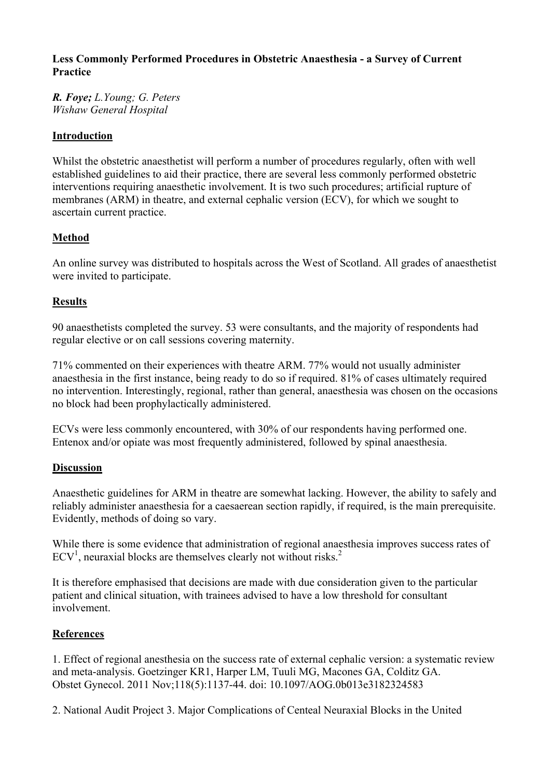### **Less Commonly Performed Procedures in Obstetric Anaesthesia - a Survey of Current Practice**

*R. Foye; L.Young; G. Peters Wishaw General Hospital*

### **Introduction**

Whilst the obstetric anaesthetist will perform a number of procedures regularly, often with well established guidelines to aid their practice, there are several less commonly performed obstetric interventions requiring anaesthetic involvement. It is two such procedures; artificial rupture of membranes (ARM) in theatre, and external cephalic version (ECV), for which we sought to ascertain current practice.

# **Method**

An online survey was distributed to hospitals across the West of Scotland. All grades of anaesthetist were invited to participate.

## **Results**

90 anaesthetists completed the survey. 53 were consultants, and the majority of respondents had regular elective or on call sessions covering maternity.

71% commented on their experiences with theatre ARM. 77% would not usually administer anaesthesia in the first instance, being ready to do so if required. 81% of cases ultimately required no intervention. Interestingly, regional, rather than general, anaesthesia was chosen on the occasions no block had been prophylactically administered.

ECVs were less commonly encountered, with 30% of our respondents having performed one. Entenox and/or opiate was most frequently administered, followed by spinal anaesthesia.

### **Discussion**

Anaesthetic guidelines for ARM in theatre are somewhat lacking. However, the ability to safely and reliably administer anaesthesia for a caesaerean section rapidly, if required, is the main prerequisite. Evidently, methods of doing so vary.

While there is some evidence that administration of regional anaesthesia improves success rates of  $ECV<sup>1</sup>$ , neuraxial blocks are themselves clearly not without risks.<sup>2</sup>

It is therefore emphasised that decisions are made with due consideration given to the particular patient and clinical situation, with trainees advised to have a low threshold for consultant involvement.

### **References**

1. Effect of regional anesthesia on the success rate of external cephalic version: a systematic review and meta-analysis. Goetzinger KR1, Harper LM, Tuuli MG, Macones GA, Colditz GA. Obstet Gynecol. 2011 Nov;118(5):1137-44. doi: 10.1097/AOG.0b013e3182324583

2. National Audit Project 3. Major Complications of Centeal Neuraxial Blocks in the United